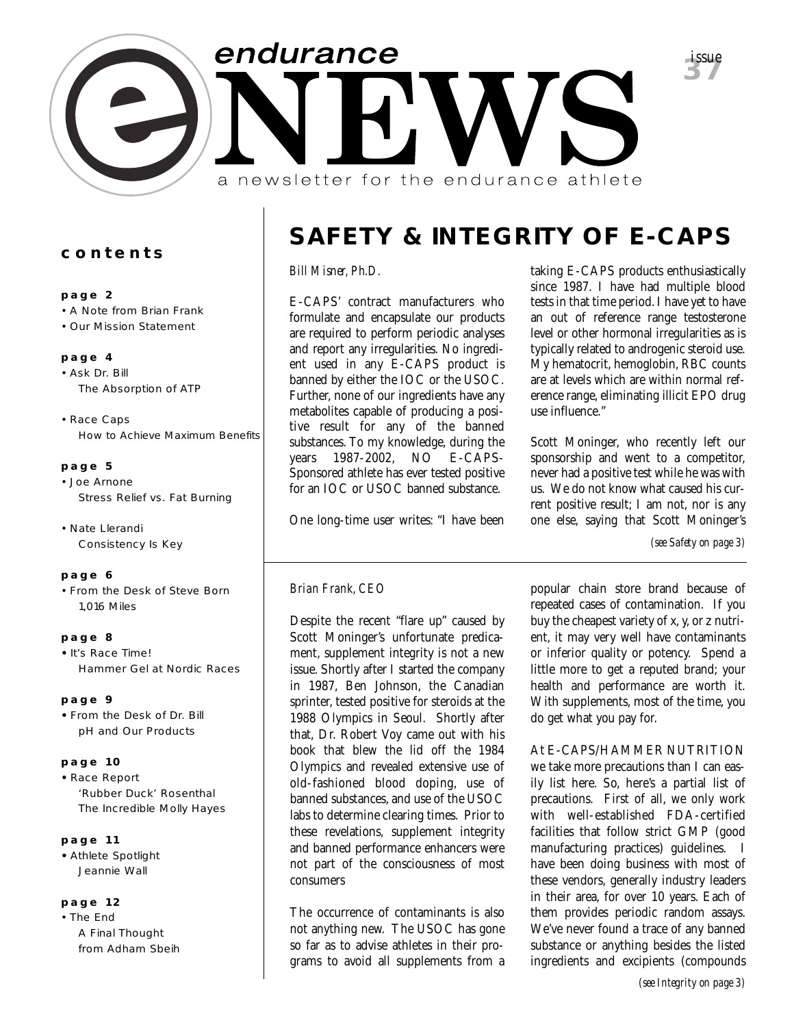

### **contents**

### **page 2**

- A Note from Brian Frank
- Our Mission Statement

### **page 4**

- Ask Dr. Bill *The Absorption of ATP*
- Race Caps *How to Achieve Maximum Benefits*

### **page 5**

- Joe Arnone *Stress Relief vs. Fat Burning*
- Nate Llerandi *Consistency Is Key*

### **page 6**

• From the Desk of Steve Born *1,016 Miles*

### **page 8**

**•** It's Race Time! *Hammer Gel at Nordic Races*

### **page 9**

**•** From the Desk of Dr. Bill *pH and Our Products*

### **page 10**

**•** Race Report *'Rubber Duck' Rosenthal The Incredible Molly Hayes*

### **page 11**

**•** Athlete Spotlight *Jeannie Wall*

### **page 12**

• The End *A Final Thought from Adham Sbeih*

# **SAFETY & INTEGRITY OF E-CAPS**

### *Bill Misner, Ph.D.*

E-CAPS' contract manufacturers who formulate and encapsulate our products are required to perform periodic analyses and report any irregularities. No ingredient used in any E-CAPS product is banned by either the IOC or the USOC. Further, none of our ingredients have any metabolites capable of producing a positive result for any of the banned substances. To my knowledge, during the years 1987-2002, NO E-CAPS-Sponsored athlete has ever tested positive for an IOC or USOC banned substance.

One long-time user writes: "I have been

taking E-CAPS products enthusiastically since 1987. I have had multiple blood tests in that time period. I have yet to have an out of reference range testosterone level or other hormonal irregularities as is typically related to androgenic steroid use. My hematocrit, hemoglobin, RBC counts are at levels which are within normal reference range, eliminating illicit EPO drug use influence."

Scott Moninger, who recently left our sponsorship and went to a competitor, never had a positive test while he was with us. We do not know what caused his current positive result; I am not, nor is any one else, saying that Scott Moninger's

*(see Safety on page 3)*

### *Brian Frank, CEO*

Despite the recent "flare up" caused by Scott Moninger's unfortunate predicament, supplement integrity is not a new issue. Shortly after I started the company in 1987, Ben Johnson, the Canadian sprinter, tested positive for steroids at the 1988 Olympics in Seoul. Shortly after that, Dr. Robert Voy came out with his book that blew the lid off the 1984 Olympics and revealed extensive use of old-fashioned blood doping, use of banned substances, and use of the USOC labs to determine clearing times. Prior to these revelations, supplement integrity and banned performance enhancers were not part of the consciousness of most consumers

The occurrence of contaminants is also not anything new. The USOC has gone so far as to advise athletes in their programs to avoid all supplements from a popular chain store brand because of repeated cases of contamination. If you buy the cheapest variety of x, y, or z nutrient, it may very well have contaminants or inferior quality or potency. Spend a little more to get a reputed brand; your health and performance are worth it. With supplements, most of the time, you do get what you pay for.

At E-CAPS/HAMMER NUTRITION we take more precautions than I can easily list here. So, here's a partial list of precautions. First of all, we only work with well-established FDA-certified facilities that follow strict GMP (good manufacturing practices) guidelines. I have been doing business with most of these vendors, generally industry leaders in their area, for over 10 years. Each of them provides periodic random assays. We've never found a trace of any banned substance or anything besides the listed ingredients and excipients (compounds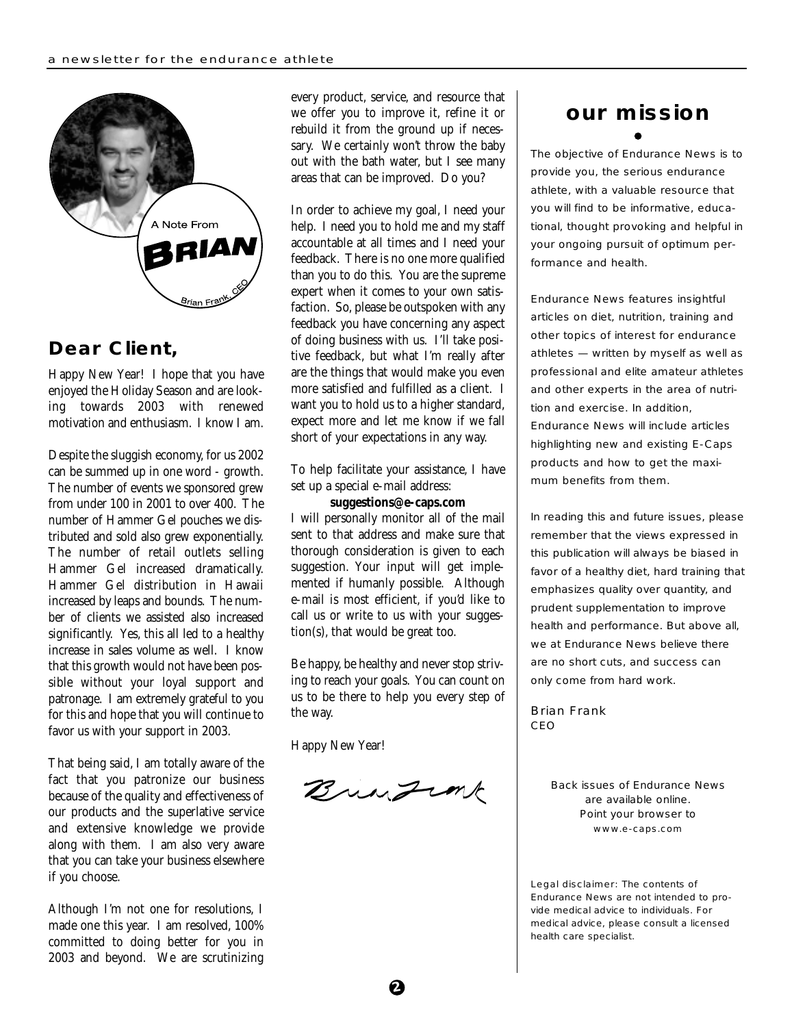

### **Dear Client,**

Happy New Year! I hope that you have enjoyed the Holiday Season and are looking towards 2003 with renewed motivation and enthusiasm. I know I am.

Despite the sluggish economy, for us 2002 can be summed up in one word - growth. The number of events we sponsored grew from under 100 in 2001 to over 400. The number of Hammer Gel pouches we distributed and sold also grew exponentially. The number of retail outlets selling Hammer Gel increased dramatically. Hammer Gel distribution in Hawaii increased by leaps and bounds. The number of clients we assisted also increased significantly. Yes, this all led to a healthy increase in sales volume as well. I know that this growth would not have been possible without your loyal support and patronage. I am extremely grateful to you for this and hope that you will continue to favor us with your support in 2003.

That being said, I am totally aware of the fact that you patronize our business because of the quality and effectiveness of our products and the superlative service and extensive knowledge we provide along with them. I am also very aware that you can take your business elsewhere if you choose.

Although I'm not one for resolutions, I made one this year. I am resolved, 100% committed to doing better for you in 2003 and beyond. We are scrutinizing

every product, service, and resource that we offer you to improve it, refine it or rebuild it from the ground up if necessary. We certainly won't throw the baby out with the bath water, but I see many areas that can be improved. Do you?

In order to achieve my goal, I need your help. I need you to hold me and my staff accountable at all times and I need your feedback. There is no one more qualified than you to do this. You are the supreme expert when it comes to your own satisfaction. So, please be outspoken with any feedback you have concerning any aspect of doing business with us. I'll take positive feedback, but what I'm really after are the things that would make you even more satisfied and fulfilled as a client. I want you to hold us to a higher standard, expect more and let me know if we fall short of your expectations in any way.

To help facilitate your assistance, I have set up a special e-mail address:

### **suggestions@e-caps.com**

I will personally monitor all of the mail sent to that address and make sure that thorough consideration is given to each suggestion. Your input will get implemented if humanly possible. Although e-mail is most efficient, if you'd like to call us or write to us with your suggestion(s), that would be great too.

Be happy, be healthy and never stop striving to reach your goals. You can count on us to be there to help you every step of the way.

Happy New Year!

Bringink

# **our mission**

The objective of Endurance News is to provide you, the serious endurance athlete, with a valuable resource that you will find to be informative, educational, thought provoking and helpful in your ongoing pursuit of optimum performance and health.

Endurance News features insightful articles on diet, nutrition, training and other topics of interest for endurance athletes — written by myself as well as professional and elite amateur athletes and other experts in the area of nutrition and exercise. In addition, Endurance News will include articles highlighting new and existing E-Caps products and how to get the maximum benefits from them.

In reading this and future issues, please remember that the views expressed in this publication will always be biased in favor of a healthy diet, hard training that emphasizes quality over quantity, and prudent supplementation to improve health and performance. But above all, we at Endurance News believe there are no short cuts, and success can only come from hard work.

Brian Frank CEO

> Back issues of Endurance News are available online. Point your browser to www.e-caps.com

Legal disclaimer: The contents of Endurance News are not intended to provide medical advice to individuals. For medical advice, please consult a licensed health care specialist.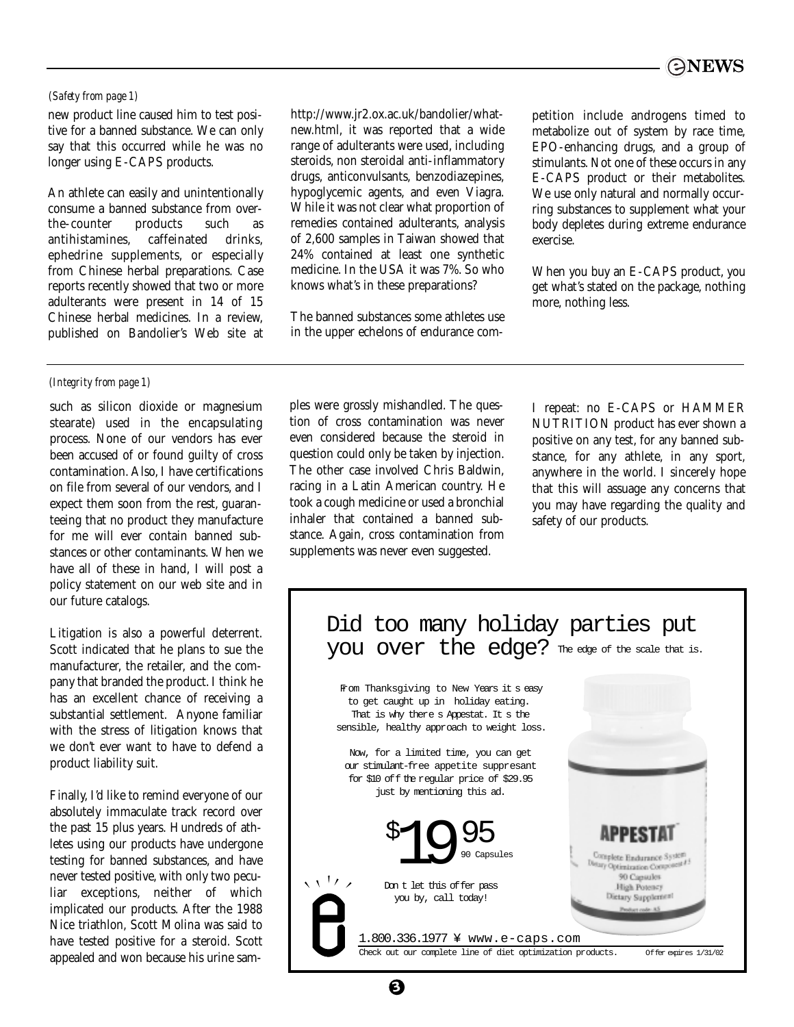### *(Safety from page 1)*

new product line caused him to test positive for a banned substance. We can only say that this occurred while he was no longer using E-CAPS products.

An athlete can easily and unintentionally consume a banned substance from overthe-counter products such as antihistamines, caffeinated drinks, ephedrine supplements, or especially from Chinese herbal preparations. Case reports recently showed that two or more adulterants were present in 14 of 15 Chinese herbal medicines. In a review, published on Bandolier's Web site at

### *(Integrity from page 1)*

such as silicon dioxide or magnesium stearate) used in the encapsulating process. None of our vendors has ever been accused of or found guilty of cross contamination. Also, I have certifications on file from several of our vendors, and I expect them soon from the rest, guaranteeing that no product they manufacture for me will ever contain banned substances or other contaminants. When we have all of these in hand, I will post a policy statement on our web site and in our future catalogs.

Litigation is also a powerful deterrent. Scott indicated that he plans to sue the manufacturer, the retailer, and the company that branded the product. I think he has an excellent chance of receiving a substantial settlement. Anyone familiar with the stress of litigation knows that we don't ever want to have to defend a product liability suit.

Finally, I'd like to remind everyone of our absolutely immaculate track record over the past 15 plus years. Hundreds of athletes using our products have undergone testing for banned substances, and have never tested positive, with only two peculiar exceptions, neither of which implicated our products. After the 1988 Nice triathlon, Scott Molina was said to have tested positive for a steroid. Scott appealed and won because his urine samhttp://www.jr2.ox.ac.uk/bandolier/whatnew.html, it was reported that a wide range of adulterants were used, including steroids, non steroidal anti-inflammatory drugs, anticonvulsants, benzodiazepines, hypoglycemic agents, and even Viagra. While it was not clear what proportion of remedies contained adulterants, analysis of 2,600 samples in Taiwan showed that 24% contained at least one synthetic medicine. In the USA it was 7%. So who knows what's in these preparations?

The banned substances some athletes use in the upper echelons of endurance competition include androgens timed to metabolize out of system by race time, EPO-enhancing drugs, and a group of stimulants. Not one of these occurs in any E-CAPS product or their metabolites. We use only natural and normally occurring substances to supplement what your body depletes during extreme endurance exercise.

When you buy an E-CAPS product, you get what's stated on the package, nothing more, nothing less.

ples were grossly mishandled. The question of cross contamination was never even considered because the steroid in question could only be taken by injection. The other case involved Chris Baldwin, racing in a Latin American country. He took a cough medicine or used a bronchial inhaler that contained a banned substance. Again, cross contamination from supplements was never even suggested.

**3**

I repeat: no E-CAPS or HAMMER NUTRITION product has ever shown a positive on any test, for any banned substance, for any athlete, in any sport, anywhere in the world. I sincerely hope that this will assuage any concerns that you may have regarding the quality and safety of our products.



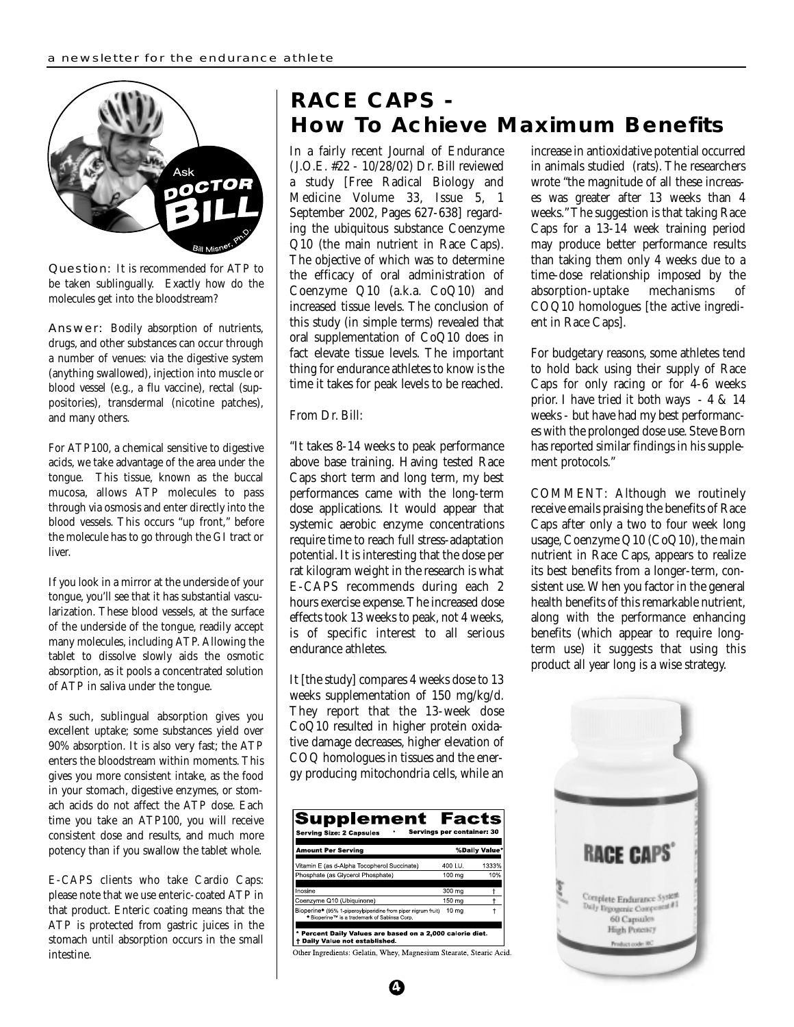

Question: It is recommended for ATP to be taken sublingually. Exactly how do the molecules get into the bloodstream?

Answer: Bodily absorption of nutrients, drugs, and other substances can occur through a number of venues: via the digestive system (anything swallowed), injection into muscle or blood vessel (e.g., a flu vaccine), rectal (suppositories), transdermal (nicotine patches), and many others.

For ATP100, a chemical sensitive to digestive acids, we take advantage of the area under the tongue. This tissue, known as the buccal mucosa, allows ATP molecules to pass through via osmosis and enter directly into the blood vessels. This occurs "up front," before the molecule has to go through the GI tract or liver.

If you look in a mirror at the underside of your tongue, you'll see that it has substantial vascularization. These blood vessels, at the surface of the underside of the tongue, readily accept many molecules, including ATP. Allowing the tablet to dissolve slowly aids the osmotic absorption, as it pools a concentrated solution of ATP in saliva under the tongue.

As such, sublingual absorption gives you excellent uptake; some substances yield over 90% absorption. It is also very fast; the ATP enters the bloodstream within moments. This gives you more consistent intake, as the food in your stomach, digestive enzymes, or stomach acids do not affect the ATP dose. Each time you take an ATP100, you will receive consistent dose and results, and much more potency than if you swallow the tablet whole.

E-CAPS clients who take Cardio Caps: please note that we use enteric-coated ATP in that product. Enteric coating means that the ATP is protected from gastric juices in the stomach until absorption occurs in the small intestine.

### **RACE CAPS - How To Achieve Maximum Benefits**

In a fairly recent Journal of Endurance (J.O.E. #22 - 10/28/02) Dr. Bill reviewed a study [Free Radical Biology and Medicine Volume 33, Issue 5, 1 September 2002, Pages 627-638] regarding the ubiquitous substance Coenzyme Q10 (the main nutrient in Race Caps). The objective of which was to determine the efficacy of oral administration of Coenzyme Q10 (a.k.a. CoQ10) and increased tissue levels. The conclusion of this study (in simple terms) revealed that oral supplementation of CoQ10 does in fact elevate tissue levels. The important thing for endurance athletes to know is the time it takes for peak levels to be reached.

### From Dr. Bill:

"It takes 8-14 weeks to peak performance above base training. Having tested Race Caps short term and long term, my best performances came with the long-term dose applications. It would appear that systemic aerobic enzyme concentrations require time to reach full stress-adaptation potential. It is interesting that the dose per rat kilogram weight in the research is what E-CAPS recommends during each 2 hours exercise expense. The increased dose effects took 13 weeks to peak, not 4 weeks, is of specific interest to all serious endurance athletes.

It [the study] compares 4 weeks dose to 13 weeks supplementation of 150 mg/kg/d. They report that the 13-week dose CoQ10 resulted in higher protein oxidative damage decreases, higher elevation of COQ homologues in tissues and the energy producing mitochondria cells, while an

| Supplement Facts<br>Servings per container: 30<br><b>Serving Size: 2 Capsules</b>                                                      |         |               |  |
|----------------------------------------------------------------------------------------------------------------------------------------|---------|---------------|--|
| <b>Amount Per Serving</b>                                                                                                              |         | %Daily Value* |  |
| Vitamin E (as d-Alpha Tocopherol Succinate)                                                                                            | 400 LU. | 1333%         |  |
| Phosphate (as Glycerol Phosphate)                                                                                                      | 100 ma  | 10%           |  |
| Inosine                                                                                                                                | 300 mg  |               |  |
| Coenzyme Q10 (Ubiquinone)                                                                                                              | 150 mg  |               |  |
| Bioperine <sup>*</sup> (95% 1-piperoylpiperidine from piper nigrum fruit)<br>* Bioperine <sup>TM</sup> is a trademark of Sabinsa Corp. | 10 ma   |               |  |
| * Percent Daily Values are based on a 2,000 calorie diet.<br>Daily Value not established.                                              |         |               |  |

Other Ingredients: Gelatin, Whey, Magnesium Stearate, Stearic Acid.

**4**

increase in antioxidative potential occurred in animals studied (rats). The researchers wrote "the magnitude of all these increases was greater after 13 weeks than 4 weeks." The suggestion is that taking Race Caps for a 13-14 week training period may produce better performance results than taking them only 4 weeks due to a time-dose relationship imposed by the absorption-uptake mechanisms of COQ10 homologues [the active ingredient in Race Caps].

For budgetary reasons, some athletes tend to hold back using their supply of Race Caps for only racing or for 4-6 weeks prior. I have tried it both ways - 4 & 14 weeks - but have had my best performances with the prolonged dose use. Steve Born has reported similar findings in his supplement protocols."

COMMENT: Although we routinely receive emails praising the benefits of Race Caps after only a two to four week long usage, Coenzyme Q10 (CoQ10), the main nutrient in Race Caps, appears to realize its best benefits from a longer-term, consistent use. When you factor in the general health benefits of this remarkable nutrient, along with the performance enhancing benefits (which appear to require longterm use) it suggests that using this product all year long is a wise strategy.

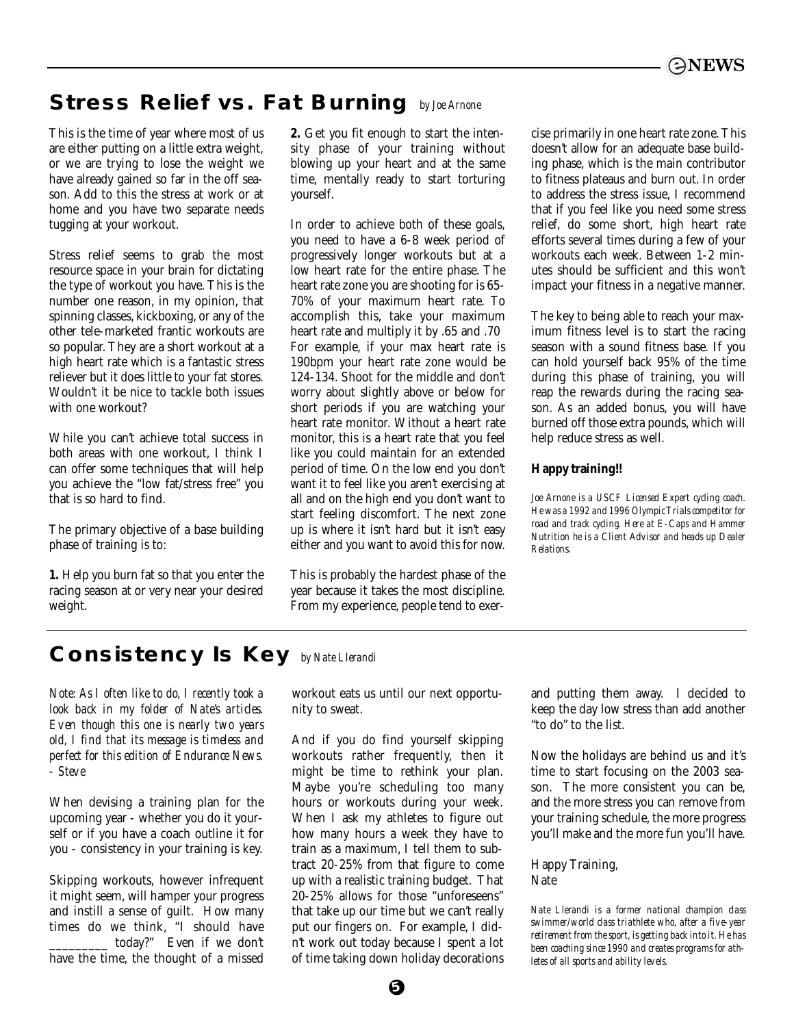### **Stress Relief vs. Fat Burning** *by Joe Arnone*

This is the time of year where most of us are either putting on a little extra weight, or we are trying to lose the weight we have already gained so far in the off season. Add to this the stress at work or at home and you have two separate needs tugging at your workout.

Stress relief seems to grab the most resource space in your brain for dictating the type of workout you have. This is the number one reason, in my opinion, that spinning classes, kickboxing, or any of the other tele-marketed frantic workouts are so popular. They are a short workout at a high heart rate which is a fantastic stress reliever but it does little to your fat stores. Wouldn't it be nice to tackle both issues with one workout?

While you can't achieve total success in both areas with one workout, I think I can offer some techniques that will help you achieve the "low fat/stress free" you that is so hard to find.

The primary objective of a base building phase of training is to:

**1.** Help you burn fat so that you enter the racing season at or very near your desired weight.

**2.** Get you fit enough to start the intensity phase of your training without blowing up your heart and at the same time, mentally ready to start torturing yourself.

In order to achieve both of these goals, you need to have a 6-8 week period of progressively longer workouts but at a low heart rate for the entire phase. The heart rate zone you are shooting for is 65- 70% of your maximum heart rate. To accomplish this, take your maximum heart rate and multiply it by .65 and .70 For example, if your max heart rate is 190bpm your heart rate zone would be 124-134. Shoot for the middle and don't worry about slightly above or below for short periods if you are watching your heart rate monitor. Without a heart rate monitor, this is a heart rate that you feel like you could maintain for an extended period of time. On the low end you don't want it to feel like you aren't exercising at all and on the high end you don't want to start feeling discomfort. The next zone up is where it isn't hard but it isn't easy either and you want to avoid this for now.

This is probably the hardest phase of the year because it takes the most discipline. From my experience, people tend to exer-

cise primarily in one heart rate zone. This doesn't allow for an adequate base building phase, which is the main contributor to fitness plateaus and burn out. In order to address the stress issue, I recommend that if you feel like you need some stress relief, do some short, high heart rate efforts several times during a few of your workouts each week. Between 1-2 minutes should be sufficient and this won't impact your fitness in a negative manner.

The key to being able to reach your maximum fitness level is to start the racing season with a sound fitness base. If you can hold yourself back 95% of the time during this phase of training, you will reap the rewards during the racing season. As an added bonus, you will have burned off those extra pounds, which will help reduce stress as well.

### **Happy training!!**

*Joe Arnone is a USCF Licensed Expert cycling coach. He was a 1992 and 1996 Olympic Trials competitor for road and track cycling. Here at E-Caps and Hammer Nutrition he is a Client Advisor and heads up Dealer Relations.*

### **Consistency Is Key** *by Nate Llerandi*

*Note: As I often like to do, I recently took a look back in my folder of Nate's articles. Even though this one is nearly two years old, I find that its message is timeless and perfect for this edition of Endurance News. - Steve*

When devising a training plan for the upcoming year - whether you do it yourself or if you have a coach outline it for you - consistency in your training is key.

Skipping workouts, however infrequent it might seem, will hamper your progress and instill a sense of guilt. How many times do we think, "I should have today?" Even if we don't have the time, the thought of a missed

workout eats us until our next opportunity to sweat.

And if you do find yourself skipping workouts rather frequently, then it might be time to rethink your plan. Maybe you're scheduling too many hours or workouts during your week. When I ask my athletes to figure out how many hours a week they have to train as a maximum, I tell them to subtract 20-25% from that figure to come up with a realistic training budget. That 20-25% allows for those "unforeseens" that take up our time but we can't really put our fingers on. For example, I didn't work out today because I spent a lot of time taking down holiday decorations

and putting them away. I decided to keep the day low stress than add another "to do" to the list.

Now the holidays are behind us and it's time to start focusing on the 2003 season. The more consistent you can be, and the more stress you can remove from your training schedule, the more progress you'll make and the more fun you'll have.

### Happy Training, Nate

*Nate Llerandi is a former national champion class swimmer/world class triathlete who, after a five-year retirement from the sport, is getting back into it. He has been coaching since 1990 and creates programs for athletes of all sports and ability levels.*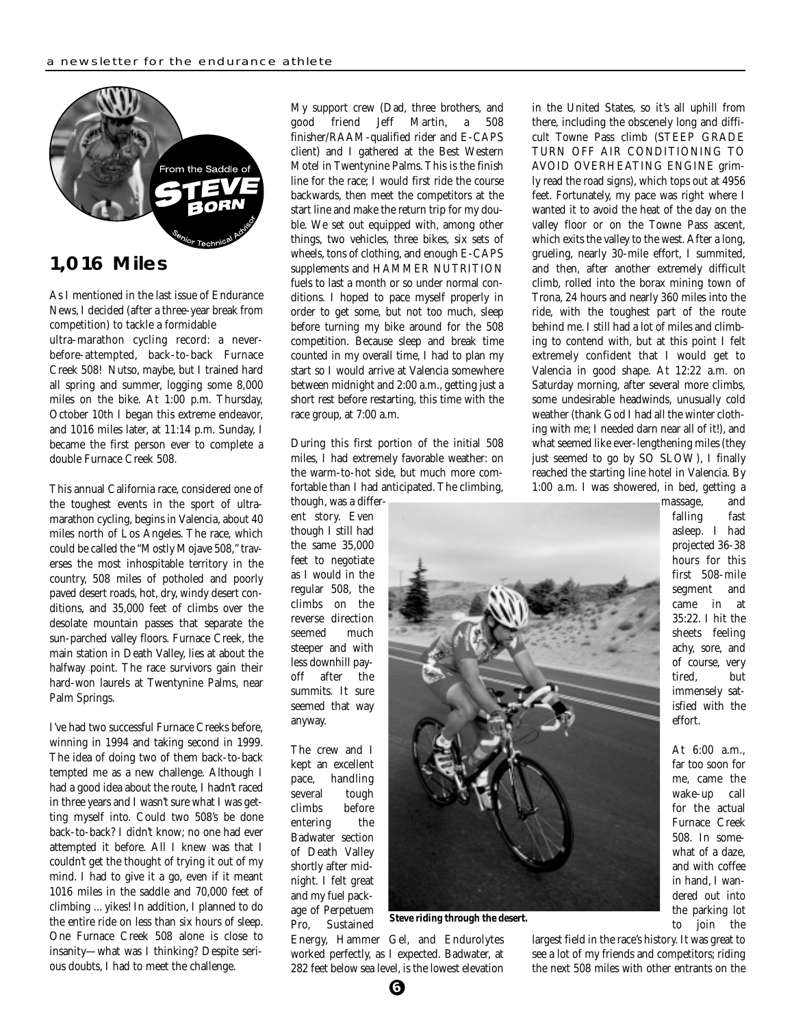

**1,016 Miles**

As I mentioned in the last issue of Endurance News, I decided (after a three-year break from competition) to tackle a formidable

ultra-marathon cycling record: a neverbefore-attempted, back-to-back Furnace Creek 508! Nutso, maybe, but I trained hard all spring and summer, logging some 8,000 miles on the bike. At 1:00 p.m. Thursday, October 10th I began this extreme endeavor, and 1016 miles later, at 11:14 p.m. Sunday, I became the first person ever to complete a double Furnace Creek 508.

This annual California race, considered one of the toughest events in the sport of ultramarathon cycling, begins in Valencia, about 40 miles north of Los Angeles. The race, which could be called the "Mostly Mojave 508," traverses the most inhospitable territory in the country, 508 miles of potholed and poorly paved desert roads, hot, dry, windy desert conditions, and 35,000 feet of climbs over the desolate mountain passes that separate the sun-parched valley floors. Furnace Creek, the main station in Death Valley, lies at about the halfway point. The race survivors gain their hard-won laurels at Twentynine Palms, near Palm Springs.

I've had two successful Furnace Creeks before, winning in 1994 and taking second in 1999. The idea of doing two of them back-to-back tempted me as a new challenge. Although I had a good idea about the route, I hadn't raced in three years and I wasn't sure what I was getting myself into. Could two 508's be done back-to-back? I didn't know; no one had ever attempted it before. All I knew was that I couldn't get the thought of trying it out of my mind. I had to give it a go, even if it meant 1016 miles in the saddle and 70,000 feet of climbing ... yikes! In addition, I planned to do the entire ride on less than six hours of sleep. One Furnace Creek 508 alone is close to insanity—what was I thinking? Despite serious doubts, I had to meet the challenge.

My support crew (Dad, three brothers, and good friend Jeff Martin, a 508 finisher/RAAM-qualified rider and E-CAPS client) and I gathered at the Best Western Motel in Twentynine Palms. This is the finish line for the race; I would first ride the course backwards, then meet the competitors at the start line and make the return trip for my double. We set out equipped with, among other things, two vehicles, three bikes, six sets of wheels, tons of clothing, and enough E-CAPS supplements and HAMMER NUTRITION fuels to last a month or so under normal conditions. I hoped to pace myself properly in order to get some, but not too much, sleep before turning my bike around for the 508 competition. Because sleep and break time counted in my overall time, I had to plan my start so I would arrive at Valencia somewhere between midnight and 2:00 a.m., getting just a short rest before restarting, this time with the race group, at 7:00 a.m.

During this first portion of the initial 508 miles, I had extremely favorable weather: on the warm-to-hot side, but much more comfortable than I had anticipated. The climbing,

though, was a different story. Even though I still had the same 35,000 feet to negotiate as I would in the regular 508, the climbs on the reverse direction seemed much steeper and with less downhill payoff after the summits. It sure seemed that way anyway.

The crew and I kept an excellent pace, handling several tough climbs before entering the Badwater section of Death Valley shortly after midnight. I felt great and my fuel package of Perpetuem Pro, Sustained



**Steve riding through the desert.**

Energy, Hammer Gel, and Endurolytes worked perfectly, as I expected. Badwater, at 282 feet below sea level, is the lowest elevation

in the United States, so it's all uphill from there, including the obscenely long and difficult Towne Pass climb (STEEP GRADE TURN OFF AIR CONDITIONING TO AVOID OVERHEATING ENGINE grimly read the road signs), which tops out at 4956 feet. Fortunately, my pace was right where I wanted it to avoid the heat of the day on the valley floor or on the Towne Pass ascent, which exits the valley to the west. After a long, grueling, nearly 30-mile effort, I summited, and then, after another extremely difficult climb, rolled into the borax mining town of Trona, 24 hours and nearly 360 miles into the ride, with the toughest part of the route behind me. I still had a lot of miles and climbing to contend with, but at this point I felt extremely confident that I would get to Valencia in good shape. At 12:22 a.m. on Saturday morning, after several more climbs, some undesirable headwinds, unusually cold weather (thank God I had all the winter clothing with me; I needed darn near all of it!), and what seemed like ever-lengthening miles (they just seemed to go by SO SLOW), I finally reached the starting line hotel in Valencia. By 1:00 a.m. I was showered, in bed, getting a

> sheets feeling achy, sore, and of course, very tired, but immensely satisfied with the effort. At 6:00 a.m., far too soon for me, came the wake-up call for the actual Furnace Creek 508. In somewhat of a daze, and with coffee in hand, I wandered out into the parking lot to join the

massage, and falling fast asleep. I had projected 36-38 hours for this first 508-mile segment and came in at 35:22. I hit the

largest field in the race's history. It was great to see a lot of my friends and competitors; riding the next 508 miles with other entrants on the

**6**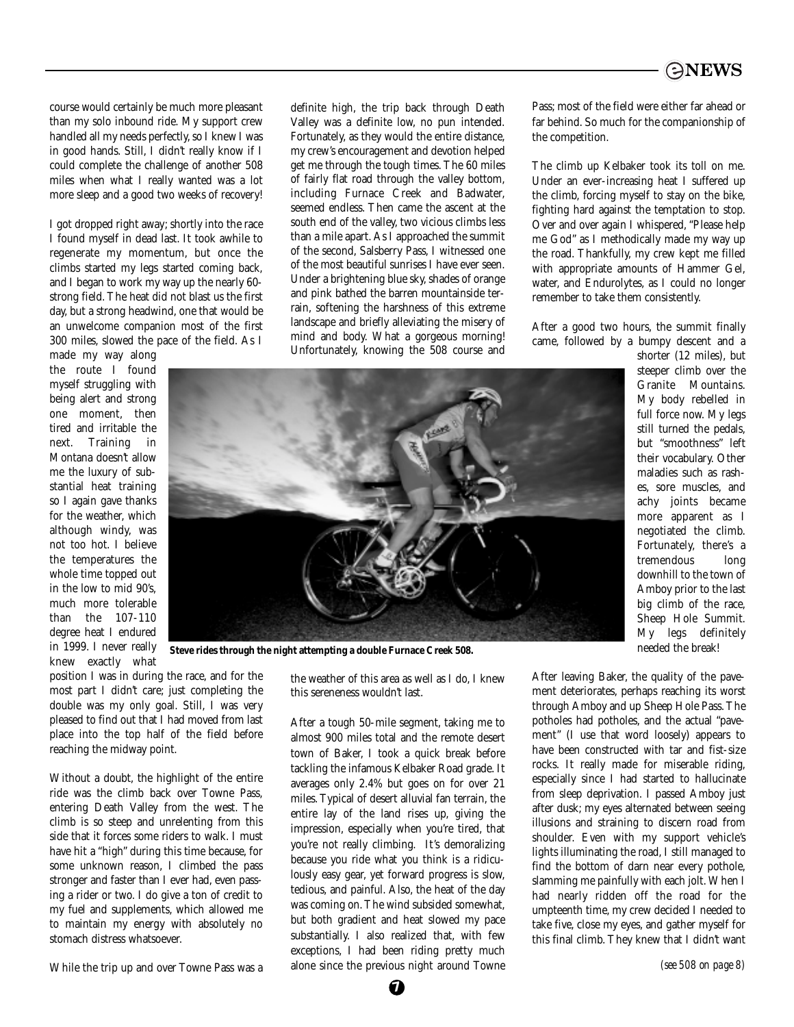

course would certainly be much more pleasant than my solo inbound ride. My support crew handled all my needs perfectly, so I knew I was in good hands. Still, I didn't really know if I could complete the challenge of another 508 miles when what I really wanted was a lot more sleep and a good two weeks of recovery!

I got dropped right away; shortly into the race I found myself in dead last. It took awhile to regenerate my momentum, but once the climbs started my legs started coming back, and I began to work my way up the nearly 60 strong field. The heat did not blast us the first day, but a strong headwind, one that would be an unwelcome companion most of the first 300 miles, slowed the pace of the field. As I

made my way along the route I found myself struggling with being alert and strong one moment, then tired and irritable the next. Training in Montana doesn't allow me the luxury of substantial heat training so I again gave thanks for the weather, which although windy, was not too hot. I believe the temperatures the whole time topped out in the low to mid 90's, much more tolerable than the 107-110 degree heat I endured in 1999. I never really knew exactly what

Valley was a definite low, no pun intended. Fortunately, as they would the entire distance, my crew's encouragement and devotion helped get me through the tough times. The 60 miles of fairly flat road through the valley bottom, including Furnace Creek and Badwater, seemed endless. Then came the ascent at the south end of the valley, two vicious climbs less than a mile apart. As I approached the summit of the second, Salsberry Pass, I witnessed one of the most beautiful sunrises I have ever seen. Under a brightening blue sky, shades of orange and pink bathed the barren mountainside terrain, softening the harshness of this extreme landscape and briefly alleviating the misery of mind and body. What a gorgeous morning!

Unfortunately, knowing the 508 course and

definite high, the trip back through Death

Pass; most of the field were either far ahead or far behind. So much for the companionship of the competition.

The climb up Kelbaker took its toll on me. Under an ever-increasing heat I suffered up the climb, forcing myself to stay on the bike, fighting hard against the temptation to stop. Over and over again I whispered, "Please help me God" as I methodically made my way up the road. Thankfully, my crew kept me filled with appropriate amounts of Hammer Gel, water, and Endurolytes, as I could no longer remember to take them consistently.

After a good two hours, the summit finally came, followed by a bumpy descent and a





**Steve rides through the night attempting a double Furnace Creek 508.**

position I was in during the race, and for the most part I didn't care; just completing the double was my only goal. Still, I was very pleased to find out that I had moved from last place into the top half of the field before reaching the midway point.

Without a doubt, the highlight of the entire ride was the climb back over Towne Pass, entering Death Valley from the west. The climb is so steep and unrelenting from this side that it forces some riders to walk. I must have hit a "high" during this time because, for some unknown reason, I climbed the pass stronger and faster than I ever had, even passing a rider or two. I do give a ton of credit to my fuel and supplements, which allowed me to maintain my energy with absolutely no stomach distress whatsoever.

While the trip up and over Towne Pass was a

the weather of this area as well as I do, I knew this sereneness wouldn't last.

After a tough 50-mile segment, taking me to almost 900 miles total and the remote desert town of Baker, I took a quick break before tackling the infamous Kelbaker Road grade. It averages only 2.4% but goes on for over 21 miles. Typical of desert alluvial fan terrain, the entire lay of the land rises up, giving the impression, especially when you're tired, that you're not really climbing. It's demoralizing because you ride what you think is a ridiculously easy gear, yet forward progress is slow, tedious, and painful. Also, the heat of the day was coming on. The wind subsided somewhat, but both gradient and heat slowed my pace substantially. I also realized that, with few exceptions, I had been riding pretty much alone since the previous night around Towne

After leaving Baker, the quality of the pavement deteriorates, perhaps reaching its worst through Amboy and up Sheep Hole Pass. The potholes had potholes, and the actual "pavement" (I use that word loosely) appears to have been constructed with tar and fist-size rocks. It really made for miserable riding, especially since I had started to hallucinate from sleep deprivation. I passed Amboy just after dusk; my eyes alternated between seeing illusions and straining to discern road from shoulder. Even with my support vehicle's lights illuminating the road, I still managed to find the bottom of darn near every pothole, slamming me painfully with each jolt. When I had nearly ridden off the road for the umpteenth time, my crew decided I needed to take five, close my eyes, and gather myself for this final climb. They knew that I didn't want

**7**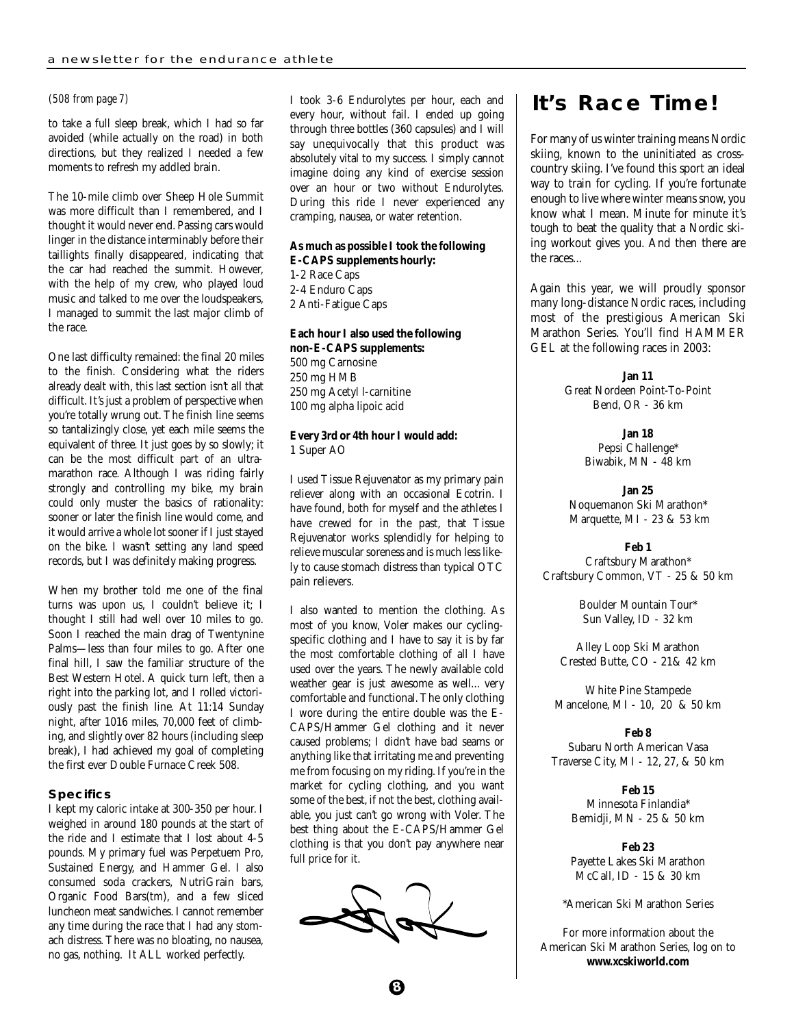### *(508 from page 7)*

to take a full sleep break, which I had so far avoided (while actually on the road) in both directions, but they realized I needed a few moments to refresh my addled brain.

The 10-mile climb over Sheep Hole Summit was more difficult than I remembered, and I thought it would never end. Passing cars would linger in the distance interminably before their taillights finally disappeared, indicating that the car had reached the summit. However, with the help of my crew, who played loud music and talked to me over the loudspeakers, I managed to summit the last major climb of the race.

One last difficulty remained: the final 20 miles to the finish. Considering what the riders already dealt with, this last section isn't all that difficult. It's just a problem of perspective when you're totally wrung out. The finish line seems so tantalizingly close, yet each mile seems the equivalent of three. It just goes by so slowly; it can be the most difficult part of an ultramarathon race. Although I was riding fairly strongly and controlling my bike, my brain could only muster the basics of rationality: sooner or later the finish line would come, and it would arrive a whole lot sooner if I just stayed on the bike. I wasn't setting any land speed records, but I was definitely making progress.

When my brother told me one of the final turns was upon us, I couldn't believe it; I thought I still had well over 10 miles to go. Soon I reached the main drag of Twentynine Palms—less than four miles to go. After one final hill, I saw the familiar structure of the Best Western Hotel. A quick turn left, then a right into the parking lot, and I rolled victoriously past the finish line. At 11:14 Sunday night, after 1016 miles, 70,000 feet of climbing, and slightly over 82 hours (including sleep break), I had achieved my goal of completing the first ever Double Furnace Creek 508.

#### **Specifics**

I kept my caloric intake at 300-350 per hour. I weighed in around 180 pounds at the start of the ride and I estimate that I lost about 4-5 pounds. My primary fuel was Perpetuem Pro, Sustained Energy, and Hammer Gel. I also consumed soda crackers, NutriGrain bars, Organic Food Bars(tm), and a few sliced luncheon meat sandwiches. I cannot remember any time during the race that I had any stomach distress. There was no bloating, no nausea, no gas, nothing. It ALL worked perfectly.

I took 3-6 Endurolytes per hour, each and every hour, without fail. I ended up going through three bottles (360 capsules) and I will say unequivocally that this product was absolutely vital to my success. I simply cannot imagine doing any kind of exercise session over an hour or two without Endurolytes. During this ride I never experienced any cramping, nausea, or water retention.

### **As much as possible I took the following**

**E-CAPS supplements hourly:** 1-2 Race Caps 2-4 Enduro Caps 2 Anti-Fatigue Caps

### **Each hour I also used the following non-E-CAPS supplements:** 500 mg Carnosine 250 mg HMB

250 mg Acetyl l-carnitine 100 mg alpha lipoic acid

#### **Every 3rd or 4th hour I would add:** 1 Super AO

I used Tissue Rejuvenator as my primary pain reliever along with an occasional Ecotrin. I have found, both for myself and the athletes I have crewed for in the past, that Tissue Rejuvenator works splendidly for helping to relieve muscular soreness and is much less likely to cause stomach distress than typical OTC pain relievers.

I also wanted to mention the clothing. As most of you know, Voler makes our cyclingspecific clothing and I have to say it is by far the most comfortable clothing of all I have used over the years. The newly available cold weather gear is just awesome as well... very comfortable and functional. The only clothing I wore during the entire double was the E-CAPS/Hammer Gel clothing and it never caused problems; I didn't have bad seams or anything like that irritating me and preventing me from focusing on my riding. If you're in the market for cycling clothing, and you want some of the best, if not the best, clothing available, you just can't go wrong with Voler. The best thing about the E-CAPS/Hammer Gel clothing is that you don't pay anywhere near full price for it.

### **It's Race Time!**

For many of us winter training means Nordic skiing, known to the uninitiated as crosscountry skiing. I've found this sport an ideal way to train for cycling. If you're fortunate enough to live where winter means snow, you know what I mean. Minute for minute it's tough to beat the quality that a Nordic skiing workout gives you. And then there are the races...

Again this year, we will proudly sponsor many long-distance Nordic races, including most of the prestigious American Ski Marathon Series. You'll find HAMMER GEL at the following races in 2003:

> **Jan 11** Great Nordeen Point-To-Point Bend, OR - 36 km

> > **Jan 18** Pepsi Challenge\* Biwabik, MN - 48 km

**Jan 25** Noquemanon Ski Marathon\* Marquette, MI - 23 & 53 km

#### **Feb 1**

Craftsbury Marathon\* Craftsbury Common, VT - 25 & 50 km

> Boulder Mountain Tour\* Sun Valley, ID - 32 km

Alley Loop Ski Marathon Crested Butte, CO - 21& 42 km

White Pine Stampede Mancelone, MI - 10, 20 & 50 km

**Feb 8** Subaru North American Vasa Traverse City, MI - 12, 27, & 50 km

> **Feb 15** Minnesota Finlandia\* Bemidji, MN - 25 & 50 km

> **Feb 23** Payette Lakes Ski Marathon McCall, ID - 15 & 30 km

\*American Ski Marathon Series

For more information about the American Ski Marathon Series, log on to **www.xcskiworld.com**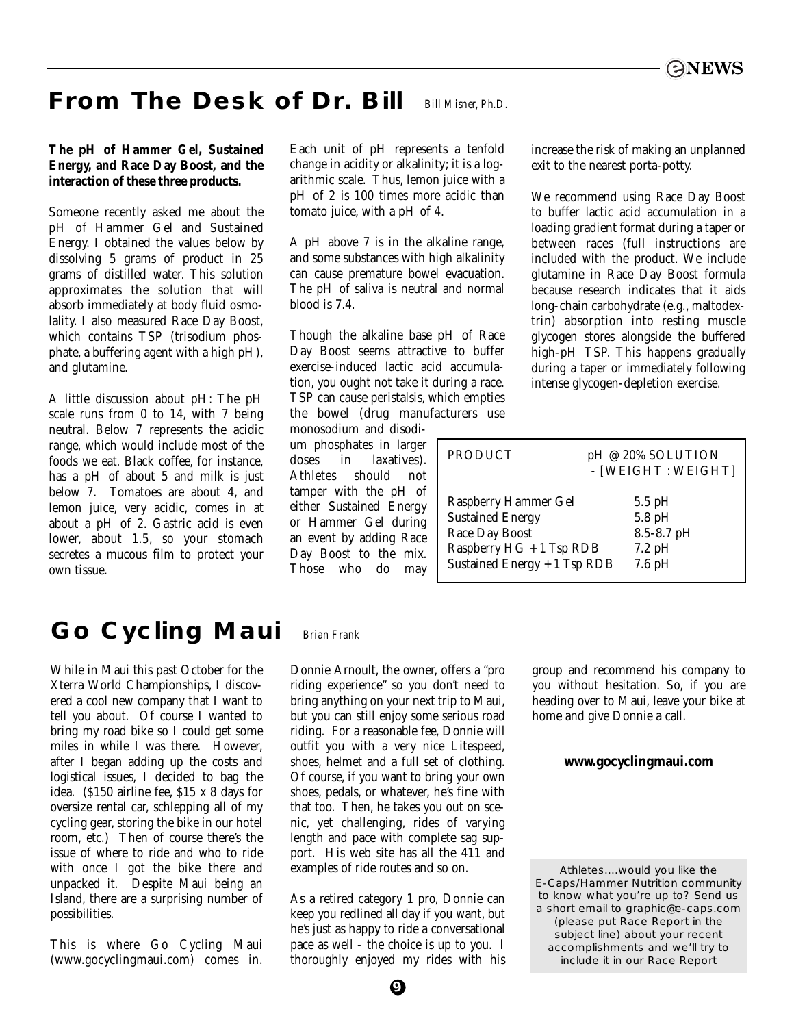#### **From The Desk of Dr. Bill** *Bill Misner, Ph.D.*

### **The pH of Hammer Gel, Sustained Energy, and Race Day Boost, and the interaction of these three products.**

Someone recently asked me about the pH of Hammer Gel and Sustained Energy. I obtained the values below by dissolving 5 grams of product in 25 grams of distilled water. This solution approximates the solution that will absorb immediately at body fluid osmolality. I also measured Race Day Boost, which contains TSP (trisodium phosphate, a buffering agent with a high pH), and glutamine.

A little discussion about pH: The pH scale runs from 0 to 14, with 7 being neutral. Below 7 represents the acidic range, which would include most of the foods we eat. Black coffee, for instance, has a pH of about 5 and milk is just below 7. Tomatoes are about 4, and lemon juice, very acidic, comes in at about a pH of 2. Gastric acid is even lower, about 1.5, so your stomach secretes a mucous film to protect your own tissue.

Each unit of pH represents a tenfold change in acidity or alkalinity; it is a logarithmic scale. Thus, lemon juice with a pH of 2 is 100 times more acidic than tomato juice, with a pH of 4.

A pH above 7 is in the alkaline range, and some substances with high alkalinity can cause premature bowel evacuation. The pH of saliva is neutral and normal blood is 7.4.

Though the alkaline base pH of Race Day Boost seems attractive to buffer exercise-induced lactic acid accumulation, you ought not take it during a race. TSP can cause peristalsis, which empties the bowel (drug manufacturers use

monosodium and disodium phosphates in larger doses in laxatives). Athletes should not tamper with the pH of either Sustained Energy or Hammer Gel during an event by adding Race Day Boost to the mix. Those who do may

increase the risk of making an unplanned exit to the nearest porta-potty.

We recommend using Race Day Boost to buffer lactic acid accumulation in a loading gradient format during a taper or between races (full instructions are included with the product. We include glutamine in Race Day Boost formula because research indicates that it aids long-chain carbohydrate (e.g., maltodextrin) absorption into resting muscle glycogen stores alongside the buffered high-pH TSP. This happens gradually during a taper or immediately following intense glycogen-depletion exercise.

| <b>PRODUCT</b>               | pH @ 20% SOLUTION<br>- [WEIGHT : WEIGHT] |  |
|------------------------------|------------------------------------------|--|
| <b>Raspberry Hammer Gel</b>  | $5.5$ pH                                 |  |
| <b>Sustained Energy</b>      | 5.8 pH                                   |  |
| <b>Race Day Boost</b>        | 8.5-8.7 pH                               |  |
| Raspberry HG + 1 Tsp RDB     | $7.2\text{ pH}$                          |  |
| Sustained Energy + 1 Tsp RDB | $7.6\,\mathrm{pH}$                       |  |

#### **Go Cycling Maui** *Brian Frank*

While in Maui this past October for the Xterra World Championships, I discovered a cool new company that I want to tell you about. Of course I wanted to bring my road bike so I could get some miles in while I was there. However, after I began adding up the costs and logistical issues, I decided to bag the idea. (\$150 airline fee, \$15 x 8 days for oversize rental car, schlepping all of my cycling gear, storing the bike in our hotel room, etc.) Then of course there's the issue of where to ride and who to ride with once I got the bike there and unpacked it. Despite Maui being an Island, there are a surprising number of possibilities.

This is where Go Cycling Maui (www.gocyclingmaui.com) comes in.

Donnie Arnoult, the owner, offers a "pro riding experience" so you don't need to bring anything on your next trip to Maui, but you can still enjoy some serious road riding. For a reasonable fee, Donnie will outfit you with a very nice Litespeed, shoes, helmet and a full set of clothing. Of course, if you want to bring your own shoes, pedals, or whatever, he's fine with that too. Then, he takes you out on scenic, yet challenging, rides of varying length and pace with complete sag support. His web site has all the 411 and examples of ride routes and so on.

As a retired category 1 pro, Donnie can keep you redlined all day if you want, but he's just as happy to ride a conversational pace as well - the choice is up to you. I thoroughly enjoyed my rides with his group and recommend his company to you without hesitation. So, if you are heading over to Maui, leave your bike at home and give Donnie a call.

### **www.gocyclingmaui.com**

Athletes....would you like the E-Caps/Hammer Nutrition community to know what you're up to? Send us a short email to graphic@e-caps.com *(please put Race Report in the subject line)* about your recent accomplishments and we'll try to include it in our Race Report

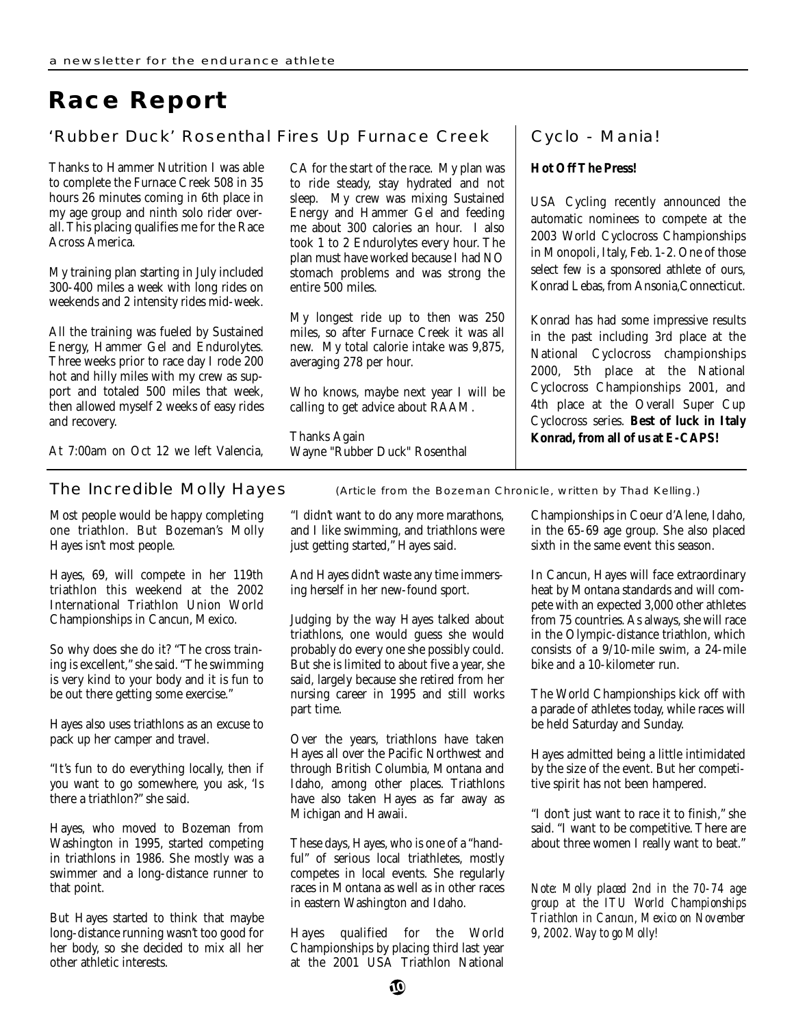# **Race Report**

### 'Rubber Duck' Rosenthal Fires Up Furnace Creek

Thanks to Hammer Nutrition I was able to complete the Furnace Creek 508 in 35 hours 26 minutes coming in 6th place in my age group and ninth solo rider overall. This placing qualifies me for the Race Across America.

My training plan starting in July included 300-400 miles a week with long rides on weekends and 2 intensity rides mid-week.

All the training was fueled by Sustained Energy, Hammer Gel and Endurolytes. Three weeks prior to race day I rode 200 hot and hilly miles with my crew as support and totaled 500 miles that week, then allowed myself 2 weeks of easy rides and recovery.

At 7:00am on Oct 12 we left Valencia,

Most people would be happy completing one triathlon. But Bozeman's Molly Hayes isn't most people.

Hayes, 69, will compete in her 119th triathlon this weekend at the 2002 International Triathlon Union World Championships in Cancun, Mexico.

So why does she do it? "The cross training is excellent," she said. "The swimming is very kind to your body and it is fun to be out there getting some exercise."

Hayes also uses triathlons as an excuse to pack up her camper and travel.

"It's fun to do everything locally, then if you want to go somewhere, you ask, 'Is there a triathlon?" she said.

Hayes, who moved to Bozeman from Washington in 1995, started competing in triathlons in 1986. She mostly was a swimmer and a long-distance runner to that point.

But Hayes started to think that maybe long-distance running wasn't too good for her body, so she decided to mix all her other athletic interests.

CA for the start of the race. My plan was to ride steady, stay hydrated and not sleep. My crew was mixing Sustained Energy and Hammer Gel and feeding me about 300 calories an hour. I also took 1 to 2 Endurolytes every hour. The plan must have worked because I had NO stomach problems and was strong the entire 500 miles.

My longest ride up to then was 250 miles, so after Furnace Creek it was all new. My total calorie intake was 9,875, averaging 278 per hour.

Who knows, maybe next year I will be calling to get advice about RAAM.

Thanks Again Wayne "Rubber Duck" Rosenthal

### Cyclo - Mania!

### **Hot Off The Press!**

USA Cycling recently announced the automatic nominees to compete at the 2003 World Cyclocross Championships in Monopoli, Italy, Feb. 1-2. One of those select few is a sponsored athlete of ours, Konrad Lebas, from Ansonia,Connecticut.

Konrad has had some impressive results in the past including 3rd place at the National Cyclocross championships 2000, 5th place at the National Cyclocross Championships 2001, and 4th place at the Overall Super Cup Cyclocross series. **Best of luck in Italy Konrad, from all of us at E-CAPS!**

The Incredible Molly Hayes (Article from the Bozeman Chronicle, written by Thad Kelling.)

"I didn't want to do any more marathons, and I like swimming, and triathlons were just getting started," Hayes said.

And Hayes didn't waste any time immersing herself in her new-found sport.

Judging by the way Hayes talked about triathlons, one would guess she would probably do every one she possibly could. But she is limited to about five a year, she said, largely because she retired from her nursing career in 1995 and still works part time.

Over the years, triathlons have taken Hayes all over the Pacific Northwest and through British Columbia, Montana and Idaho, among other places. Triathlons have also taken Hayes as far away as Michigan and Hawaii.

These days, Hayes, who is one of a "handful" of serious local triathletes, mostly competes in local events. She regularly races in Montana as well as in other races in eastern Washington and Idaho.

Hayes qualified for the World Championships by placing third last year at the 2001 USA Triathlon National

Championships in Coeur d'Alene, Idaho, in the 65-69 age group. She also placed sixth in the same event this season.

In Cancun, Hayes will face extraordinary heat by Montana standards and will compete with an expected 3,000 other athletes from 75 countries. As always, she will race in the Olympic-distance triathlon, which consists of a 9/10-mile swim, a 24-mile bike and a 10-kilometer run.

The World Championships kick off with a parade of athletes today, while races will be held Saturday and Sunday.

Hayes admitted being a little intimidated by the size of the event. But her competitive spirit has not been hampered.

"I don't just want to race it to finish," she said. "I want to be competitive. There are about three women I really want to beat."

*Note: Molly placed 2nd in the 70-74 age group at the ITU World Championships Triathlon in Cancun, Mexico on November 9, 2002. Way to go Molly!*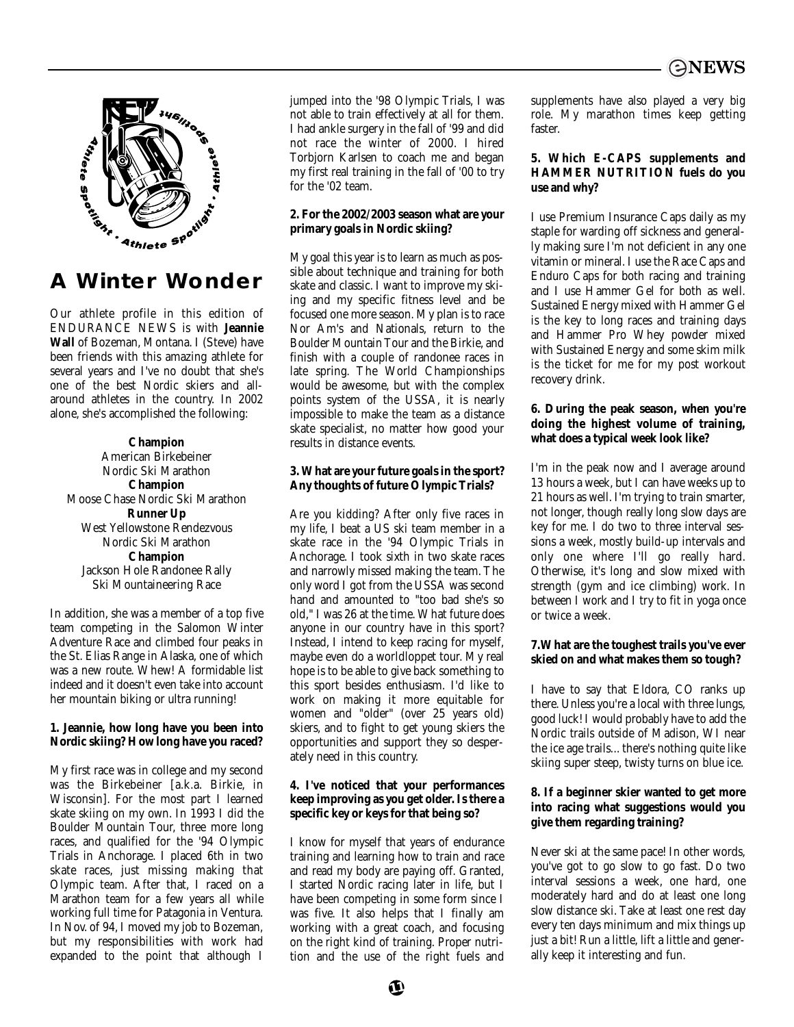

## **A Winter Wonder**

Our athlete profile in this edition of ENDURANCE NEWS is with **Jeannie Wall** of Bozeman, Montana. I (Steve) have been friends with this amazing athlete for several years and I've no doubt that she's one of the best Nordic skiers and allaround athletes in the country. In 2002 alone, she's accomplished the following:

**Champion** American Birkebeiner Nordic Ski Marathon **Champion** Moose Chase Nordic Ski Marathon **Runner Up**  West Yellowstone Rendezvous Nordic Ski Marathon **Champion** Jackson Hole Randonee Rally Ski Mountaineering Race

In addition, she was a member of a top five team competing in the Salomon Winter Adventure Race and climbed four peaks in the St. Elias Range in Alaska, one of which was a new route. Whew! A formidable list indeed and it doesn't even take into account her mountain biking or ultra running!

### **1. Jeannie, how long have you been into Nordic skiing? How long have you raced?**

My first race was in college and my second was the Birkebeiner [a.k.a. Birkie, in Wisconsin]. For the most part I learned skate skiing on my own. In 1993 I did the Boulder Mountain Tour, three more long races, and qualified for the '94 Olympic Trials in Anchorage. I placed 6th in two skate races, just missing making that Olympic team. After that, I raced on a Marathon team for a few years all while working full time for Patagonia in Ventura. In Nov. of 94, I moved my job to Bozeman, but my responsibilities with work had expanded to the point that although I jumped into the '98 Olympic Trials, I was not able to train effectively at all for them. I had ankle surgery in the fall of '99 and did not race the winter of 2000. I hired Torbjorn Karlsen to coach me and began my first real training in the fall of '00 to try for the '02 team.

### **2. For the 2002/2003 season what are your primary goals in Nordic skiing?**

My goal this year is to learn as much as possible about technique and training for both skate and classic. I want to improve my skiing and my specific fitness level and be focused one more season. My plan is to race Nor Am's and Nationals, return to the Boulder Mountain Tour and the Birkie, and finish with a couple of randonee races in late spring. The World Championships would be awesome, but with the complex points system of the USSA, it is nearly impossible to make the team as a distance skate specialist, no matter how good your results in distance events.

### **3. What are your future goals in the sport? Any thoughts of future Olympic Trials?**

Are you kidding? After only five races in my life, I beat a US ski team member in a skate race in the '94 Olympic Trials in Anchorage. I took sixth in two skate races and narrowly missed making the team. The only word I got from the USSA was second hand and amounted to "too bad she's so old," I was 26 at the time. What future does anyone in our country have in this sport? Instead, I intend to keep racing for myself, maybe even do a worldloppet tour. My real hope is to be able to give back something to this sport besides enthusiasm. I'd like to work on making it more equitable for women and "older" (over 25 years old) skiers, and to fight to get young skiers the opportunities and support they so desperately need in this country.

### **4. I've noticed that your performances keep improving as you get older. Is there a specific key or keys for that being so?**

I know for myself that years of endurance training and learning how to train and race and read my body are paying off. Granted, I started Nordic racing later in life, but I have been competing in some form since I was five. It also helps that I finally am working with a great coach, and focusing on the right kind of training. Proper nutrition and the use of the right fuels and supplements have also played a very big role. My marathon times keep getting faster.

### **5. Which E-CAPS supplements and HAMMER NUTRITION fuels do you use and why?**

I use Premium Insurance Caps daily as my staple for warding off sickness and generally making sure I'm not deficient in any one vitamin or mineral. I use the Race Caps and Enduro Caps for both racing and training and I use Hammer Gel for both as well. Sustained Energy mixed with Hammer Gel is the key to long races and training days and Hammer Pro Whey powder mixed with Sustained Energy and some skim milk is the ticket for me for my post workout recovery drink.

### **6. During the peak season, when you're doing the highest volume of training, what does a typical week look like?**

I'm in the peak now and I average around 13 hours a week, but I can have weeks up to 21 hours as well. I'm trying to train smarter, not longer, though really long slow days are key for me. I do two to three interval sessions a week, mostly build-up intervals and only one where I'll go really hard. Otherwise, it's long and slow mixed with strength (gym and ice climbing) work. In between I work and I try to fit in yoga once or twice a week.

### **7.What are the toughest trails you've ever skied on and what makes them so tough?**

I have to say that Eldora, CO ranks up there. Unless you're a local with three lungs, good luck! I would probably have to add the Nordic trails outside of Madison, WI near the ice age trails... there's nothing quite like skiing super steep, twisty turns on blue ice.

### **8. If a beginner skier wanted to get more into racing what suggestions would you give them regarding training?**

Never ski at the same pace! In other words, you've got to go slow to go fast. Do two interval sessions a week, one hard, one moderately hard and do at least one long slow distance ski. Take at least one rest day every ten days minimum and mix things up just a bit! Run a little, lift a little and generally keep it interesting and fun.